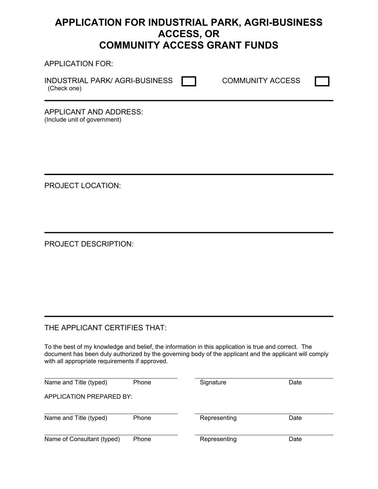# **APPLICATION FOR INDUSTRIAL PARK, AGRI-BUSINESS ACCESS, OR COMMUNITY ACCESS GRANT FUNDS**

APPLICATION FOR:

INDUSTRIAL PARK/ AGRI-BUSINESS **THE COMMUNITY ACCESS** (Check one)

APPLICANT AND ADDRESS: (Include unit of government)

PROJECT LOCATION:

PROJECT DESCRIPTION:

# THE APPLICANT CERTIFIES THAT:

To the best of my knowledge and belief, the information in this application is true and correct. The document has been duly authorized by the governing body of the applicant and the applicant will comply with all appropriate requirements if approved.

| Name and Title (typed)     | Phone | Signature    | Date |
|----------------------------|-------|--------------|------|
| APPLICATION PREPARED BY:   |       |              |      |
| Name and Title (typed)     | Phone | Representing | Date |
| Name of Consultant (typed) | Phone | Representing | Date |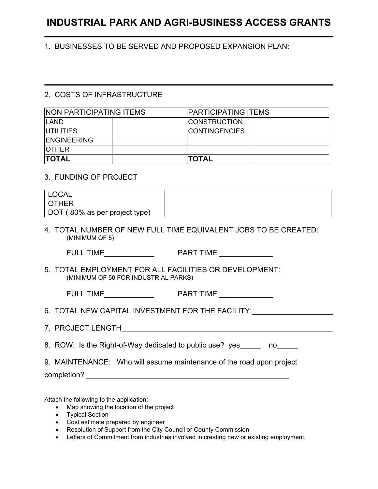# **INDUSTRIAL PARK AND AGRI-BUSINESS ACCESS GRANTS**

1. BUSINESSES TO BE SERVED AND PROPOSED EXPANSION PLAN:

## 2. COSTS OF INFRASTRUCTURE

| <b>NON PARTICIPATING ITEMS</b> |  |                      | <b>PARTICIPATING ITEMS</b> |  |  |
|--------------------------------|--|----------------------|----------------------------|--|--|
| <b>ILAND</b>                   |  | <b>CONSTRUCTION</b>  |                            |  |  |
| <b>IUTILITIES</b>              |  | <b>CONTINGENCIES</b> |                            |  |  |
| <b>ENGINEERING</b>             |  |                      |                            |  |  |
| <b>IOTHER</b>                  |  |                      |                            |  |  |
| <b>TOTAL</b>                   |  | <b>TOTAL</b>         |                            |  |  |

## 3. FUNDING OF PROJECT

| LOCAL <sup>'</sup>            |  |
|-------------------------------|--|
| l OTHER                       |  |
| DOT (80% as per project type) |  |

4. TOTAL NUMBER OF NEW FULL TIME EQUIVALENT JOBS TO BE CREATED: (MINIMUM OF 5)

FULL TIME THE PART TIME

5. TOTAL EMPLOYMENT FOR ALL FACILITIES OR DEVELOPMENT: (MINIMUM OF 50 FOR INDUSTRIAL PARKS)

| ME<br><b>FULL</b><br>TIN. | <b>ART TIME</b> |
|---------------------------|-----------------|
|                           |                 |

- 6. TOTAL NEW CAPITAL INVESTMENT FOR THE FACILITY:
- 7. PROJECT LENGTH

|  |  | 8. ROW: Is the Right-of-Way dedicated to public use? yes_ |  |  |
|--|--|-----------------------------------------------------------|--|--|
|  |  |                                                           |  |  |

9. MAINTENANCE: Who will assume maintenance of the road upon project

completion?

Attach the following to the application:

- Map showing the location of the project
- Typical Section
- Cost estimate prepared by engineer
- Resolution of Support from the City Council or County Commission
- Letters of Commitment from industries involved in creating new or existing employment.